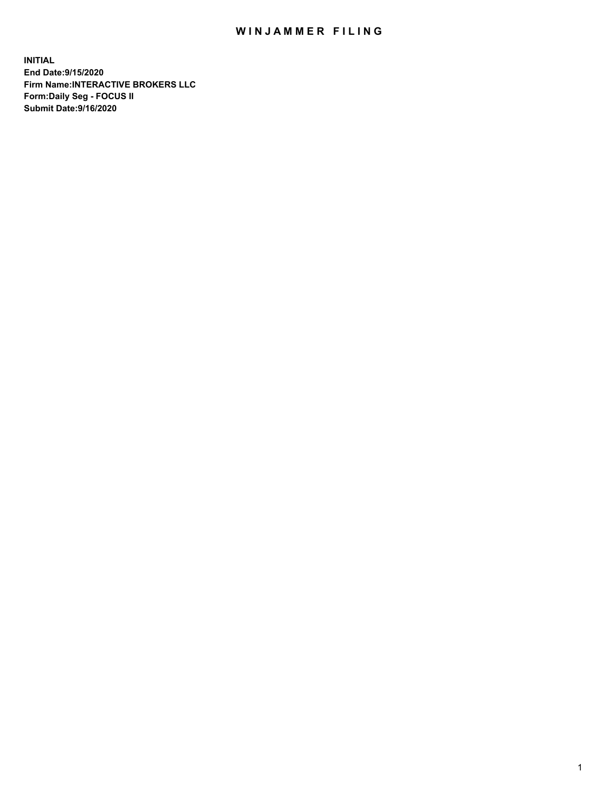## WIN JAMMER FILING

**INITIAL End Date:9/15/2020 Firm Name:INTERACTIVE BROKERS LLC Form:Daily Seg - FOCUS II Submit Date:9/16/2020**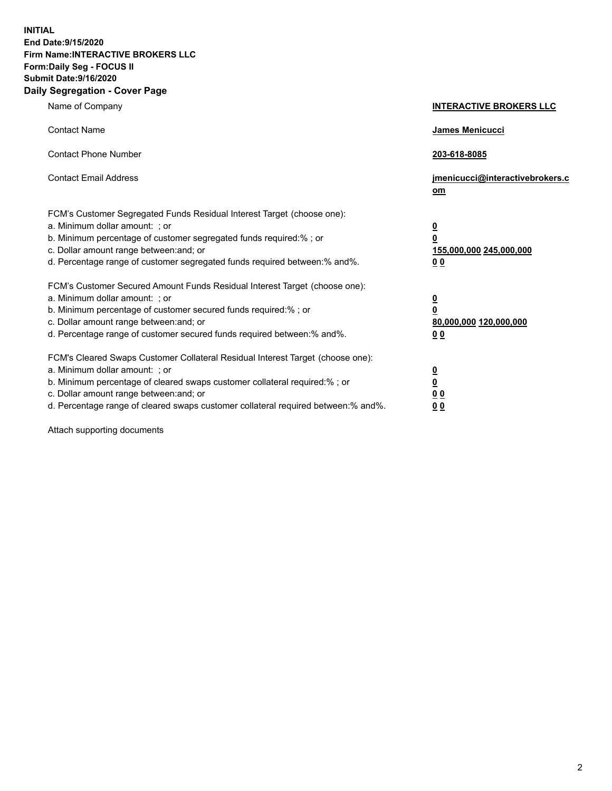**INITIAL End Date:9/15/2020 Firm Name:INTERACTIVE BROKERS LLC Form:Daily Seg - FOCUS II Submit Date:9/16/2020 Daily Segregation - Cover Page**

| Name of Company                                                                                                                                                                                                                                                                                                                | <b>INTERACTIVE BROKERS LLC</b>                                                                  |
|--------------------------------------------------------------------------------------------------------------------------------------------------------------------------------------------------------------------------------------------------------------------------------------------------------------------------------|-------------------------------------------------------------------------------------------------|
| <b>Contact Name</b>                                                                                                                                                                                                                                                                                                            | <b>James Menicucci</b>                                                                          |
| <b>Contact Phone Number</b>                                                                                                                                                                                                                                                                                                    | 203-618-8085                                                                                    |
| <b>Contact Email Address</b>                                                                                                                                                                                                                                                                                                   | jmenicucci@interactivebrokers.c<br>om                                                           |
| FCM's Customer Segregated Funds Residual Interest Target (choose one):<br>a. Minimum dollar amount: ; or<br>b. Minimum percentage of customer segregated funds required:%; or<br>c. Dollar amount range between: and; or<br>d. Percentage range of customer segregated funds required between:% and%.                          | $\overline{\mathbf{0}}$<br>$\overline{\mathbf{0}}$<br>155,000,000 245,000,000<br>0 <sub>0</sub> |
| FCM's Customer Secured Amount Funds Residual Interest Target (choose one):<br>a. Minimum dollar amount: ; or<br>b. Minimum percentage of customer secured funds required:%; or<br>c. Dollar amount range between: and; or<br>d. Percentage range of customer secured funds required between:% and%.                            | <u>0</u><br>$\overline{\mathbf{0}}$<br>80,000,000 120,000,000<br>0 <sub>0</sub>                 |
| FCM's Cleared Swaps Customer Collateral Residual Interest Target (choose one):<br>a. Minimum dollar amount: ; or<br>b. Minimum percentage of cleared swaps customer collateral required:% ; or<br>c. Dollar amount range between: and; or<br>d. Percentage range of cleared swaps customer collateral required between:% and%. | $\overline{\mathbf{0}}$<br>$\underline{\mathbf{0}}$<br>0 <sub>0</sub><br>00                     |

Attach supporting documents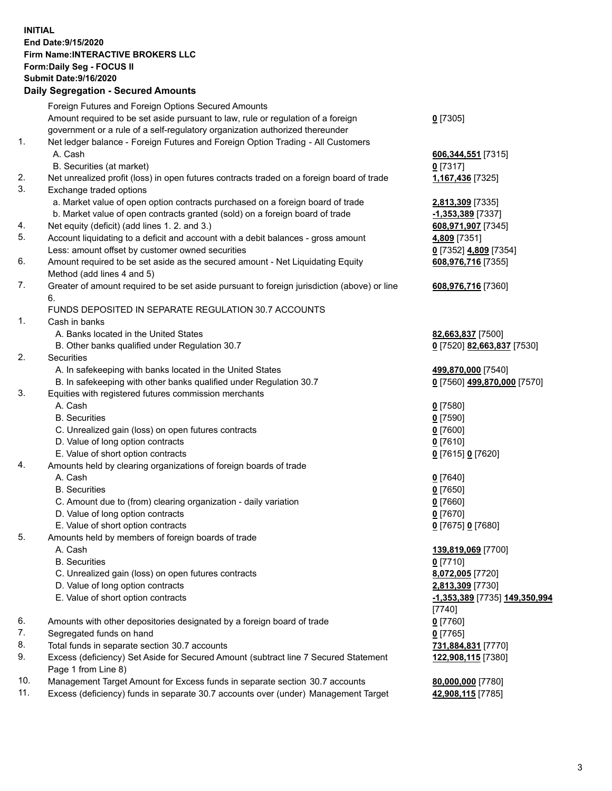**INITIAL End Date:9/15/2020 Firm Name:INTERACTIVE BROKERS LLC Form:Daily Seg - FOCUS II Submit Date:9/16/2020 Daily Segregation - Secured Amounts**

|     | Daily Segregation - Secureu Amounts                                                         |                                      |
|-----|---------------------------------------------------------------------------------------------|--------------------------------------|
|     | Foreign Futures and Foreign Options Secured Amounts                                         |                                      |
|     | Amount required to be set aside pursuant to law, rule or regulation of a foreign            | $0$ [7305]                           |
|     | government or a rule of a self-regulatory organization authorized thereunder                |                                      |
| 1.  | Net ledger balance - Foreign Futures and Foreign Option Trading - All Customers             |                                      |
|     | A. Cash                                                                                     | 606, 344, 551 [7315]                 |
|     | B. Securities (at market)                                                                   | $0$ [7317]                           |
| 2.  | Net unrealized profit (loss) in open futures contracts traded on a foreign board of trade   | 1,167,436 [7325]                     |
| 3.  | Exchange traded options                                                                     |                                      |
|     | a. Market value of open option contracts purchased on a foreign board of trade              | 2,813,309 [7335]                     |
|     | b. Market value of open contracts granted (sold) on a foreign board of trade                | -1,353,389 [7337]                    |
| 4.  | Net equity (deficit) (add lines 1. 2. and 3.)                                               | 608,971,907 [7345]                   |
| 5.  | Account liquidating to a deficit and account with a debit balances - gross amount           | 4,809 [7351]                         |
|     | Less: amount offset by customer owned securities                                            | 0 [7352] 4,809 [7354]                |
| 6.  | Amount required to be set aside as the secured amount - Net Liquidating Equity              | 608,976,716 [7355]                   |
|     | Method (add lines 4 and 5)                                                                  |                                      |
| 7.  | Greater of amount required to be set aside pursuant to foreign jurisdiction (above) or line |                                      |
|     | 6.                                                                                          | 608,976,716 [7360]                   |
|     | FUNDS DEPOSITED IN SEPARATE REGULATION 30.7 ACCOUNTS                                        |                                      |
| 1.  | Cash in banks                                                                               |                                      |
|     | A. Banks located in the United States                                                       |                                      |
|     |                                                                                             | 82,663,837 [7500]                    |
| 2.  | B. Other banks qualified under Regulation 30.7                                              | 0 [7520] 82,663,837 [7530]           |
|     | <b>Securities</b>                                                                           |                                      |
|     | A. In safekeeping with banks located in the United States                                   | 499,870,000 [7540]                   |
|     | B. In safekeeping with other banks qualified under Regulation 30.7                          | 0 [7560] 499,870,000 [7570]          |
| 3.  | Equities with registered futures commission merchants                                       |                                      |
|     | A. Cash                                                                                     | $0$ [7580]                           |
|     | <b>B.</b> Securities                                                                        | $0$ [7590]                           |
|     | C. Unrealized gain (loss) on open futures contracts                                         | $0$ [7600]                           |
|     | D. Value of long option contracts                                                           | $0$ [7610]                           |
|     | E. Value of short option contracts                                                          | 0 [7615] 0 [7620]                    |
| 4.  | Amounts held by clearing organizations of foreign boards of trade                           |                                      |
|     | A. Cash                                                                                     | $0$ [7640]                           |
|     | <b>B.</b> Securities                                                                        | $0$ [7650]                           |
|     | C. Amount due to (from) clearing organization - daily variation                             | $0$ [7660]                           |
|     | D. Value of long option contracts                                                           | $0$ [7670]                           |
|     | E. Value of short option contracts                                                          | 0 [7675] 0 [7680]                    |
| 5.  | Amounts held by members of foreign boards of trade                                          |                                      |
|     | A. Cash                                                                                     | 139,819,069 [7700]                   |
|     | <b>B.</b> Securities                                                                        | $0$ [7710]                           |
|     | C. Unrealized gain (loss) on open futures contracts                                         | 8,072,005 [7720]                     |
|     | D. Value of long option contracts                                                           | 2,813,309 [7730]                     |
|     | E. Value of short option contracts                                                          | <u>-1,353,389</u> [7735] 149,350,994 |
|     |                                                                                             | $[7740]$                             |
| 6.  | Amounts with other depositories designated by a foreign board of trade                      | $0$ [7760]                           |
| 7.  | Segregated funds on hand                                                                    | $0$ [7765]                           |
| 8.  | Total funds in separate section 30.7 accounts                                               | 731,884,831 [7770]                   |
| 9.  | Excess (deficiency) Set Aside for Secured Amount (subtract line 7 Secured Statement         | 122,908,115 [7380]                   |
|     | Page 1 from Line 8)                                                                         |                                      |
| 10. | Management Target Amount for Excess funds in separate section 30.7 accounts                 | 80,000,000 [7780]                    |
| 11. | Excess (deficiency) funds in separate 30.7 accounts over (under) Management Target          | 42,908,115 [7785]                    |
|     |                                                                                             |                                      |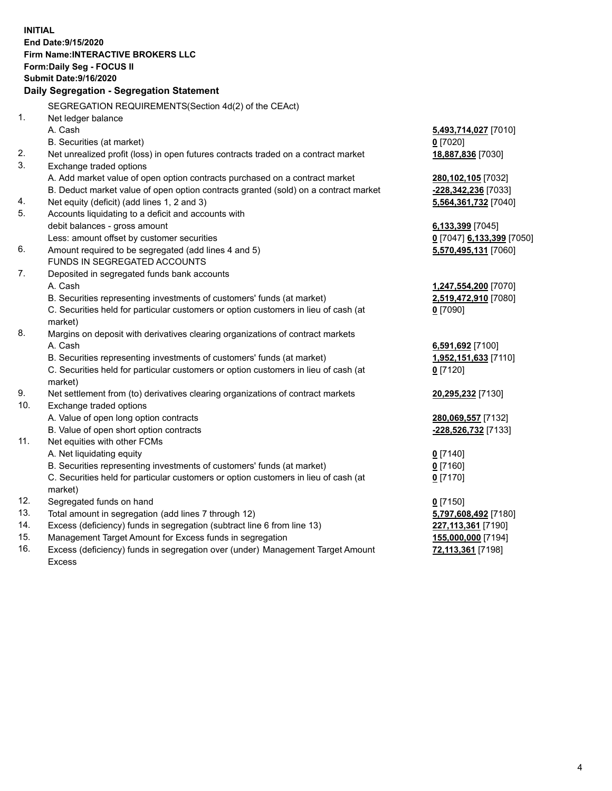**INITIAL End Date:9/15/2020 Firm Name:INTERACTIVE BROKERS LLC Form:Daily Seg - FOCUS II Submit Date:9/16/2020 Daily Segregation - Segregation Statement** SEGREGATION REQUIREMENTS(Section 4d(2) of the CEAct) 1. Net ledger balance A. Cash **5,493,714,027** [7010] B. Securities (at market) **0** [7020] 2. Net unrealized profit (loss) in open futures contracts traded on a contract market **18,887,836** [7030] 3. Exchange traded options A. Add market value of open option contracts purchased on a contract market **280,102,105** [7032] B. Deduct market value of open option contracts granted (sold) on a contract market **-228,342,236** [7033] 4. Net equity (deficit) (add lines 1, 2 and 3) **5,564,361,732** [7040] 5. Accounts liquidating to a deficit and accounts with debit balances - gross amount **6,133,399** [7045] Less: amount offset by customer securities **0** [7047] **6,133,399** [7050] 6. Amount required to be segregated (add lines 4 and 5) **5,570,495,131** [7060] FUNDS IN SEGREGATED ACCOUNTS 7. Deposited in segregated funds bank accounts A. Cash **1,247,554,200** [7070] B. Securities representing investments of customers' funds (at market) **2,519,472,910** [7080] C. Securities held for particular customers or option customers in lieu of cash (at market) **0** [7090] 8. Margins on deposit with derivatives clearing organizations of contract markets A. Cash **6,591,692** [7100] B. Securities representing investments of customers' funds (at market) **1,952,151,633** [7110] C. Securities held for particular customers or option customers in lieu of cash (at market) **0** [7120] 9. Net settlement from (to) derivatives clearing organizations of contract markets **20,295,232** [7130] 10. Exchange traded options A. Value of open long option contracts **280,069,557** [7132] B. Value of open short option contracts **-228,526,732** [7133] 11. Net equities with other FCMs A. Net liquidating equity **0** [7140] B. Securities representing investments of customers' funds (at market) **0** [7160] C. Securities held for particular customers or option customers in lieu of cash (at market) **0** [7170] 12. Segregated funds on hand **0** [7150] 13. Total amount in segregation (add lines 7 through 12) **5,797,608,492** [7180] 14. Excess (deficiency) funds in segregation (subtract line 6 from line 13) **227,113,361** [7190] 15. Management Target Amount for Excess funds in segregation **155,000,000** [7194] **72,113,361** [7198]

16. Excess (deficiency) funds in segregation over (under) Management Target Amount Excess